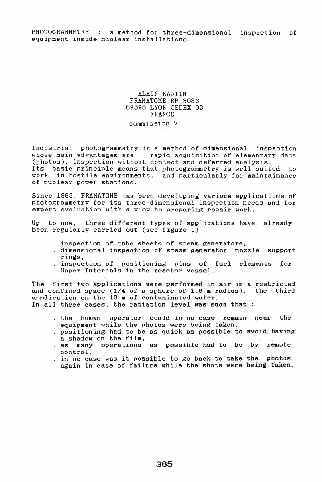## ALAIN MARTIN FRAMATOME BP 3083 69398 LYON CEDEX 03 FRANCE

Commission V

Industrial photogrammetry is a method of dimensional inspection whose main advantages are: rapid acquisition of elementary data (photos), inspection without contact and deferred analysis. Its basic principle means that photogrammetry is well suited to work in hostile environments, and particularly for maintainance of nuclear power stations.

Since 1983, FRAMATOME has been developing various applications of photogrammetry for its three-dimensional inspection needs and for expert evaluation with a view to preparing repair work.

Up to now, three different types of applications have already been regularly carried out (see figure 1)

- · inspection of tube sheets of steam generators,
- · dimensional inspection of steam generator nozzle support rings,
- inspection of positioning pins of fuel elements for Upper Internals in the reactor vessel.

The first two applications were performed in air in a restricted<br>and confined space (1/4 of a sphere of 1.6 m radius), the third and confined space  $(1/4$  of a sphere of 1.6 m radius), application on the 10 m of contaminated water. In all three cases, the radiation level was such that :

- · the human operator could in no case remain near the equipment while the photos were being taken,
- . positioning had to be as quick as possible to avoid having a shadow on the film,
- . as many operations as possible had to be by remote control,
- · in no case was it possible to go back to take the photos again in case of failure while the shots were being taken.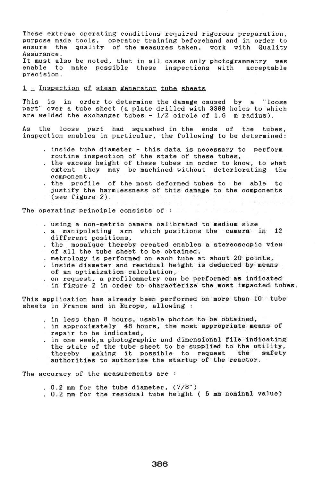These extreme operating conditions required rigorous preparation, purpose made tools, operator training beforehand and in order to the quality of the measures taken, work with Quality Assurance.

It must also be noted, that in all cases only photogrammetry was<br>enable to make possible these inspections with acceptable enable to make possible these inspections with precision.

## $1$  = Inspection of steam generator tube sheets

This is in order to determine the damage caused by a "loose part" over a tube sheet (a plate drilled with 3388 holes to which are welded the exchanger tubes  $-1/2$  circle of 1.6 m radius).

the loose part had squashed in the ends of the tubes,  $As$ inspection enables in particular, the following to be determined:

- · inside tube diameter this data is necessary to perform routine inspection of the state of these tubes,
- . the excess height of these tubes in order to know, to what extent they may be machined without deteriorating the they may be machined without deteriorating the component,
- · the profile of the most deformed tubes to be able to justify the harmlessness of this damage to the components (see figure 2).

The operating principle consists of : Western Constant

- · using a non-metric camera calibrated to medium size
- · a manipulating arm which positions the camera in 12 different positions,
- · the mosaique thereby created enables a stereoscopic view of all the tube sheet to be obtained,
- $e$  metrology is performed on each tube at about 20 points,
- . inside diameter and residual height is deducted by means of an optimization calculation,
- · on request, a profilommetry can be performed as indicated in figure 2 in order to characterize the most impacted tubes.

This application has already been performed on more than 10 tube sheets in France and in Europe, allowing :

- . in less than 8 hours, usable photos to be obtained,
- . in approximately 48 hours, the most appropriate means of repair to be indicated,
- . in one week, a photographic and dimensional file indicating the state of the tube sheet to be supplied to the utility,<br>thereby making it possible to request the safety making it possible to request the authorities to authorize the startup of the reactor.

The accuracy of the measurements are :

- $. 0.2$  mm for the tube diameter,  $(7/8")$
- · 0.2 mm for the residual tube height ( 5 mm nominal value)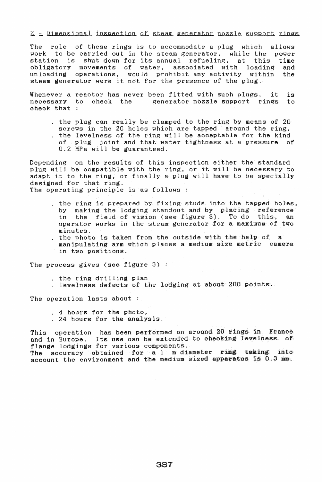$2$  - Dimensional inspection of steam generator nozzle support rings

The role of these rings is to accommodate a plug which allows work to be carried out in the steam generator, while the power work to be carried out in the steam generator, while the power<br>station is shut down for its annual refueling, at this time and the obligatory movements of water, associated with loading unloading operations, would prohibit any activity within steam generator were it not for the presence of the plug.

Whenever a reactor has never been fitted with such plugs, it is necessary to check the generator nozzle support rings to check that

the plug can really be clamped to the ring by means of  $20$ screws in the 20 holes which are tapped around the ring, . the levelness of the ring will be acceptable for the kind of plug joint and that water tightness at a pressure of 0.2 MPa will be guaranteed.

Depending on the results of this inspection either the standard pepending on the results of this inspection efther the standard<br>plug will be compatible with the ring, or it will be necessary to ping with be compatible with the ring, or it will be necessary to<br>adapt it to the ring, or finally a plug will have to be specially designed for that ring. The operating principle is as follows:

- . the ring is prepared by fixing studs into the tapped holes, by making the lodging standout and by placing reference in the field of vision (see figure 3). To do this, an operator works in the steam generator for a maximum of two minutes.
- . the photo is taken from the outside with the help of  $a$ manipulating arm which places a medium size metric camera in two positions.

The process gives (see figure 3):

- . the ring drilling plan
- levelness defects of the lodging at about 200 po:

The operation lasts about :

- . 4 hours for the photo,
- 24 hours for the analysis.

This operation has been performed on around 20 rings in France and in Europe. Its use can be extended to checking levelness of flange lodgings for various components.

The accuracy obtained for a 1 m diameter ring taking into account the environment and the medium sized apparatus is  $0.3$  mm.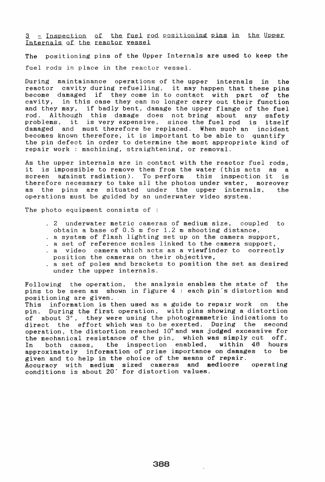3 - Inspection of the fuel rod positioning pins in the Upper Internals of the reactor yessel

The positioning pins of the Upper Internals are used to keep the fuel rods in place in the reactor vessel.

During maintainance operations of the upper internals in the reactor cavity during refuelling, it may happen that these pins<br>become damaged if they come in to contact with part of the become damaged if they come in to contact with part of cavity, in this case they can no longer carry out their function and they may, if badly bent, damage the upper flange of the fuel<br>rod. Although this damage does not bring about any safety Although this damage does not bring about any problems, it is very expensive, since the fuel rod is itself damaged and must therefore be replaced. When such an incident becomes known therefore, it 'is important to be able to quantify the pin defect in order to determine the most appropriate kind of repair work: machining, straightening, or removal.

As the upper internals are in contact with the reactor fuel rods, it is impossible to remove them from the water (this acts as a<br>screen against radiation). To perform this inspection it is against radiation). To perform this inspection it therefore necessary to take all the photos under water, moreover<br>as the pins are situated under the upper internals, the the pins are situated under the upper internals, the operations must be guided by an underwater video system.

The photo equipment consists of :

- · 2 underwater metric cameras of medium size, coupled to obtain a base of 0.5 m for 1.2 m shooting distance,
- · a system of flash lighting set up on the camera support,
- a set of reference scales linked to the camera support, · a video camera which acts as a viewfinder to correctly position the, cameras on their objective,
- · a set of poles and brackets to position the set as desired under the upper internals.

Following the operation, the analysis enables the state of the pins to be seen as shown in figure 4 : each pin's distortion and positioning are given.

This information is then used as a guide to repair work on the<br>pin. During the first operation, with pins showing a distortion During the first operation, with pins showing a distortion of about 3°, they were using the photogrammetric indications to<br>direct the effort which was to be exerted. During the second direct the effort which was to be exerted. During the operation, the distortion reached 10° and was judged excessive for the mechanical resistance of the pin, which was simply cut off.<br>In both cases, the inspection enabled, within 48 hours In both cases, the inspection enabled, within 48 approximately information of prime importance on damages to be given and to help in the choice of the means of repair. Accuracy with medium sized cameras and mediocre operating conditions is about 20' for distortion values.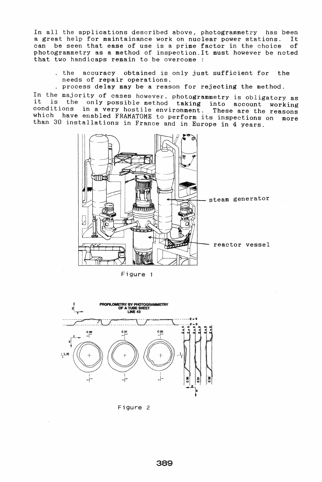In all the applications described above, photogrammetry has been a great help for maintainance work on nuclear power stations. It can be seen that ease of use is a prime factor in the choice of photogrammetry as a method of inspection.It must however be noted that two handicaps remain to be overcome :

- . the accuracy obtained is only just sufficient for the needs of repair operations,
- process delay may be a reason for rejecting the method.

In the majority of cases however, photogrammetry is obligatory as it is the only possible method taking into account working conditions in a very hostile environment. These are the reasons whioh have enabled FRAMATOME to perform its inspections on more than 30 installations in France and in Europe in 4 years.



Figure 1



Figure 2